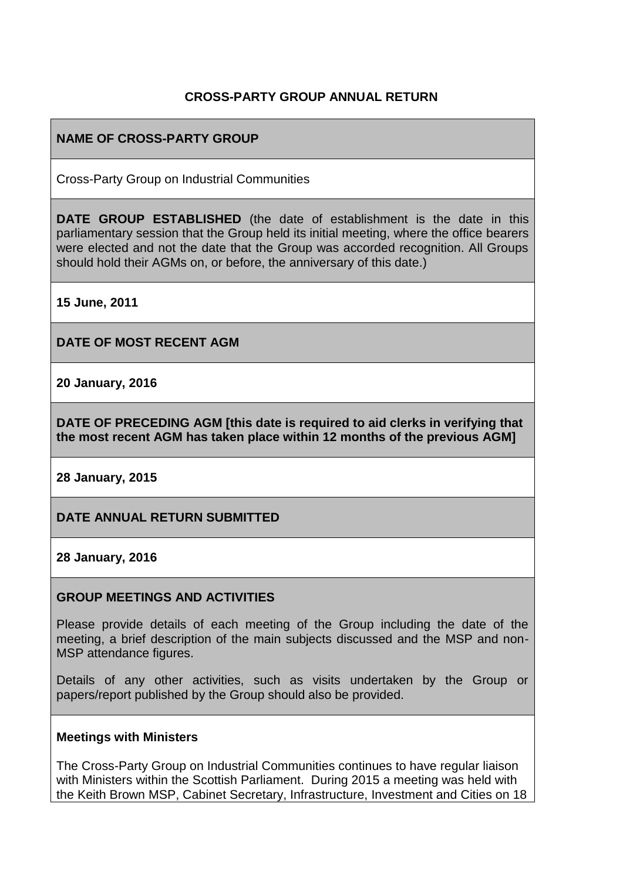### **CROSS-PARTY GROUP ANNUAL RETURN**

## **NAME OF CROSS-PARTY GROUP**

Cross-Party Group on Industrial Communities

**DATE GROUP ESTABLISHED** (the date of establishment is the date in this parliamentary session that the Group held its initial meeting, where the office bearers were elected and not the date that the Group was accorded recognition. All Groups should hold their AGMs on, or before, the anniversary of this date.)

**15 June, 2011**

**DATE OF MOST RECENT AGM**

**20 January, 2016**

**DATE OF PRECEDING AGM [this date is required to aid clerks in verifying that the most recent AGM has taken place within 12 months of the previous AGM]**

**28 January, 2015**

**DATE ANNUAL RETURN SUBMITTED**

**28 January, 2016**

#### **GROUP MEETINGS AND ACTIVITIES**

Please provide details of each meeting of the Group including the date of the meeting, a brief description of the main subjects discussed and the MSP and non-MSP attendance figures.

Details of any other activities, such as visits undertaken by the Group or papers/report published by the Group should also be provided.

#### **Meetings with Ministers**

The Cross-Party Group on Industrial Communities continues to have regular liaison with Ministers within the Scottish Parliament. During 2015 a meeting was held with the Keith Brown MSP, Cabinet Secretary, Infrastructure, Investment and Cities on 18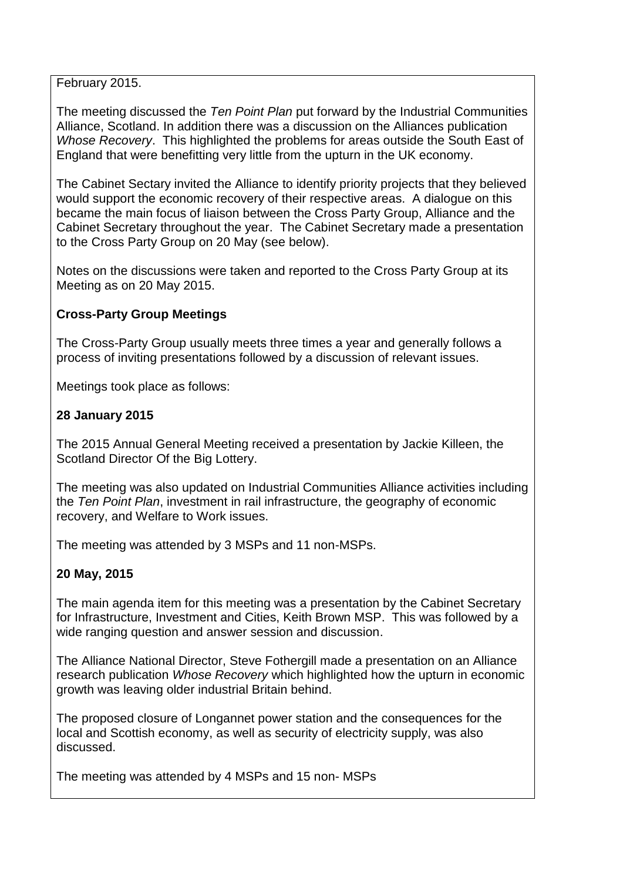February 2015.

The meeting discussed the *Ten Point Plan* put forward by the Industrial Communities Alliance, Scotland. In addition there was a discussion on the Alliances publication *Whose Recovery*. This highlighted the problems for areas outside the South East of England that were benefitting very little from the upturn in the UK economy.

The Cabinet Sectary invited the Alliance to identify priority projects that they believed would support the economic recovery of their respective areas. A dialogue on this became the main focus of liaison between the Cross Party Group, Alliance and the Cabinet Secretary throughout the year. The Cabinet Secretary made a presentation to the Cross Party Group on 20 May (see below).

Notes on the discussions were taken and reported to the Cross Party Group at its Meeting as on 20 May 2015.

#### **Cross-Party Group Meetings**

The Cross-Party Group usually meets three times a year and generally follows a process of inviting presentations followed by a discussion of relevant issues.

Meetings took place as follows:

### **28 January 2015**

The 2015 Annual General Meeting received a presentation by Jackie Killeen, the Scotland Director Of the Big Lottery.

The meeting was also updated on Industrial Communities Alliance activities including the *Ten Point Plan*, investment in rail infrastructure, the geography of economic recovery, and Welfare to Work issues.

The meeting was attended by 3 MSPs and 11 non-MSPs.

#### **20 May, 2015**

The main agenda item for this meeting was a presentation by the Cabinet Secretary for Infrastructure, Investment and Cities, Keith Brown MSP. This was followed by a wide ranging question and answer session and discussion.

The Alliance National Director, Steve Fothergill made a presentation on an Alliance research publication *Whose Recovery* which highlighted how the upturn in economic growth was leaving older industrial Britain behind.

The proposed closure of Longannet power station and the consequences for the local and Scottish economy, as well as security of electricity supply, was also discussed.

The meeting was attended by 4 MSPs and 15 non- MSPs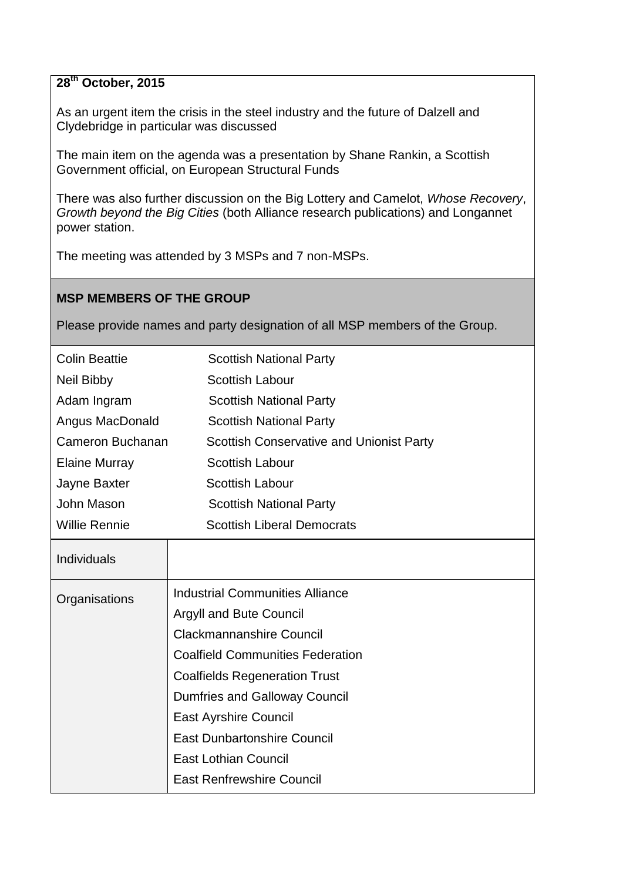# **28th October, 2015**

As an urgent item the crisis in the steel industry and the future of Dalzell and Clydebridge in particular was discussed

The main item on the agenda was a presentation by Shane Rankin, a Scottish Government official, on European Structural Funds

There was also further discussion on the Big Lottery and Camelot, *Whose Recovery*, *Growth beyond the Big Cities* (both Alliance research publications) and Longannet power station.

The meeting was attended by 3 MSPs and 7 non-MSPs.

## **MSP MEMBERS OF THE GROUP**

Please provide names and party designation of all MSP members of the Group.

| <b>Colin Beattie</b> | <b>Scottish National Party</b>                  |
|----------------------|-------------------------------------------------|
| Neil Bibby           | <b>Scottish Labour</b>                          |
| Adam Ingram          | <b>Scottish National Party</b>                  |
| Angus MacDonald      | <b>Scottish National Party</b>                  |
| Cameron Buchanan     | <b>Scottish Conservative and Unionist Party</b> |
| <b>Elaine Murray</b> | <b>Scottish Labour</b>                          |
| Jayne Baxter         | <b>Scottish Labour</b>                          |
| John Mason           | <b>Scottish National Party</b>                  |
| <b>Willie Rennie</b> | <b>Scottish Liberal Democrats</b>               |
| Individuals          |                                                 |
| Organisations        | <b>Industrial Communities Alliance</b>          |
|                      | Argyll and Bute Council                         |
|                      | <b>Clackmannanshire Council</b>                 |
|                      | <b>Coalfield Communities Federation</b>         |
|                      | <b>Coalfields Regeneration Trust</b>            |
|                      | <b>Dumfries and Galloway Council</b>            |
|                      | <b>East Ayrshire Council</b>                    |
|                      | <b>East Dunbartonshire Council</b>              |
|                      | <b>East Lothian Council</b>                     |
|                      | <b>East Renfrewshire Council</b>                |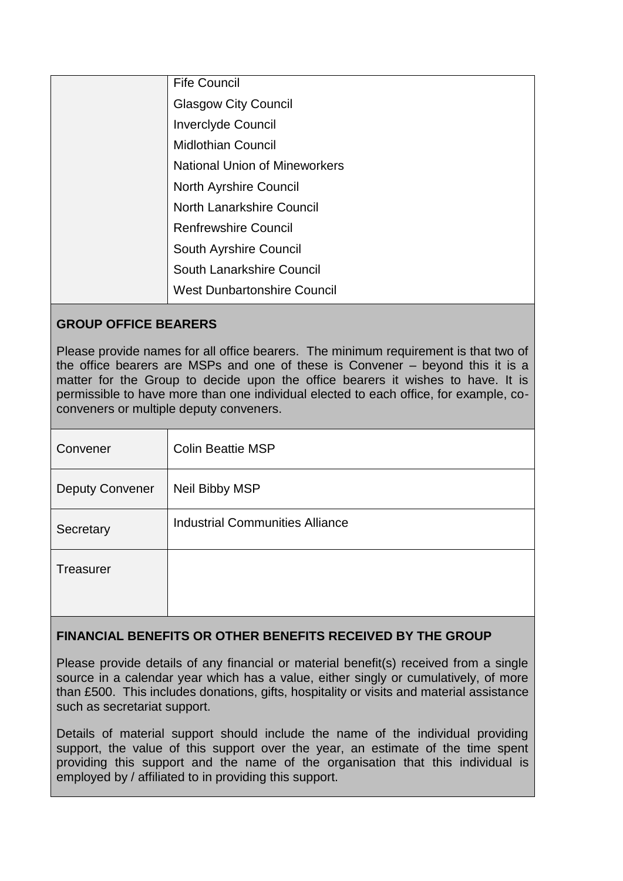| <b>Fife Council</b>                  |
|--------------------------------------|
| <b>Glasgow City Council</b>          |
| <b>Inverciyde Council</b>            |
| <b>Midlothian Council</b>            |
| <b>National Union of Mineworkers</b> |
| <b>North Ayrshire Council</b>        |
| North Lanarkshire Council            |
| <b>Renfrewshire Council</b>          |
| South Ayrshire Council               |
| South Lanarkshire Council            |
| <b>West Dunbartonshire Council</b>   |

### **GROUP OFFICE BEARERS**

Please provide names for all office bearers. The minimum requirement is that two of the office bearers are MSPs and one of these is Convener – beyond this it is a matter for the Group to decide upon the office bearers it wishes to have. It is permissible to have more than one individual elected to each office, for example, coconveners or multiple deputy conveners.

| Convener               | <b>Colin Beattie MSP</b>               |
|------------------------|----------------------------------------|
| <b>Deputy Convener</b> | Neil Bibby MSP                         |
| Secretary              | <b>Industrial Communities Alliance</b> |
| Treasurer              |                                        |

## **FINANCIAL BENEFITS OR OTHER BENEFITS RECEIVED BY THE GROUP**

Please provide details of any financial or material benefit(s) received from a single source in a calendar year which has a value, either singly or cumulatively, of more than £500. This includes donations, gifts, hospitality or visits and material assistance such as secretariat support.

Details of material support should include the name of the individual providing support, the value of this support over the year, an estimate of the time spent providing this support and the name of the organisation that this individual is employed by / affiliated to in providing this support.